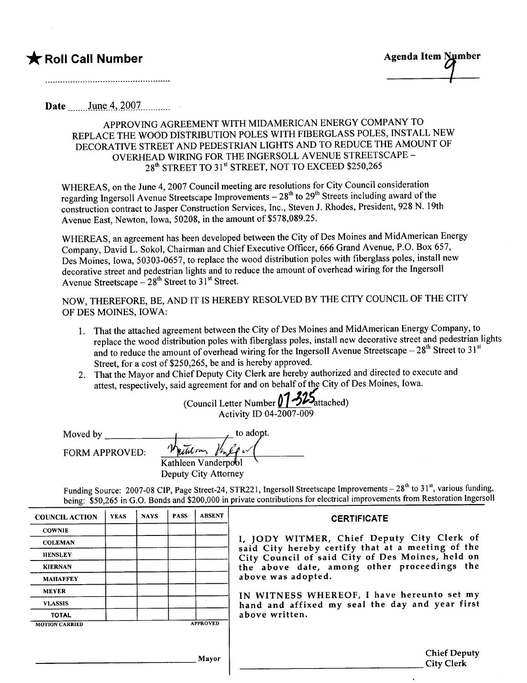## \* Roll Call Number Agenda Item Mumber

Date June 4, 2007

## APPROVING AGREEMENT WITH MIDAMERICAN ENERGY COMPANY TO REPLACE THE WOOD DISTRIBUTION POLES WITH FIBERGLASS POLES, INSTALL NEW DECORATIVE STREET AND PEDESTRIAN LIGHTS AND TO REDUCE THE AMOUNT OF OVERHEAD WIRING FOR THE INGERSOLL A VENUE STREETSCAPE-28<sup>th</sup> STREET TO 31<sup>st</sup> STREET, NOT TO EXCEED \$250,265

WHEREAS, on the June 4, 2007 Council meeting are resolutions for City Council consideration regarding Ingersoll Avenue Streetscape Improvements – 28<sup>th</sup> to 29<sup>th</sup> Streets including award of the construction contract to Jasper Construction Services, Inc., Steven J. Rhodes, President, 928 N. 19th Avenue East, Newton, Iowa, 50208, in the amount of \$578,089.25.

WHEREAS, an agreement has been developed between the City of Des Moines and MidAmerican Energy Company, David L. Sokol, Chairman and Chief Executive Officer, 666 Grand Avenue, P.O. Box 657, Des Moines, Iowa, 50303-0657, to replace the wood distribution poles with fiberglass poles, install new decorative street and pedestrian lights and to reduce the amount of overhead wiring for the Ingersoll Avenue Streetscape  $-28<sup>th</sup>$  Street to 31<sup>st</sup> Street.

NOW, THEREFORE, BE, AND IT IS HEREBY RESOLVED BY THE CITY COUNCIL OF THE CITY OF DES MOINES, IOWA:

- 1. That the attached agreement between the City of Des Moines and MidAmerican Energy Company, to replace the wood distribution poles with fiberglass poles, install new decorative street and pedestrian lights and to reduce the amount of overhead wiring for the Ingersoll Avenue Streetscape  $-28<sup>th</sup>$  Street to 31<sup>st</sup> Street, for a cost of \$250,265, be and is hereby approved.
- 2. That the Mayor and Chief Deputy City Clerk are hereby authorized and directed to execute and attest, respectively, said agreement for and on behalf of the City of Des Moines, Iowa.

(Council Letter Number 01 -325 attached) Activity ID 04-2007 -009

FORM APPROVED: 1 petite m Venlige Kathleen Vanderpool Deputy City Attorney Moved by

Funding Source: 2007-08 CIP, Page Street-24, STR221, Ingersoll Streetscape Improvements - 28<sup>th</sup> to 31<sup>st</sup>, various funding, being: \$50,265 in G.O. Bonds and \$200,000 in private contributions for electrical improvements from Restoration Ingersoll

| <b>COUNCIL ACTION</b> | <b>YEAS</b> | <b>NAYS</b> | <b>PASS</b> | <b>ABSENT</b>   | <b>CERTIFICATE</b>                                                                                              |  |  |
|-----------------------|-------------|-------------|-------------|-----------------|-----------------------------------------------------------------------------------------------------------------|--|--|
| <b>COWNIE</b>         |             |             |             |                 |                                                                                                                 |  |  |
| <b>COLEMAN</b>        |             |             |             |                 | I, JODY WITMER, Chief Deputy City Clerk of<br>said City hereby certify that at a meeting of the                 |  |  |
| <b>HENSLEY</b>        |             |             |             |                 | City Council of said City of Des Moines, held on                                                                |  |  |
| <b>KIERNAN</b>        |             |             |             |                 | the above date, among other proceedings the<br>above was adopted.<br>IN WITNESS WHEREOF, I have hereunto set my |  |  |
| <b>MAHAFFEY</b>       |             |             |             |                 |                                                                                                                 |  |  |
| <b>MEYER</b>          |             |             |             |                 |                                                                                                                 |  |  |
| <b>VLASSIS</b>        |             |             |             |                 | hand and affixed my seal the day and year first                                                                 |  |  |
| <b>TOTAL</b>          |             |             |             |                 | above written.                                                                                                  |  |  |
| <b>MOTION CARRIED</b> |             |             |             | <b>APPROVED</b> |                                                                                                                 |  |  |
|                       |             |             |             |                 |                                                                                                                 |  |  |
|                       |             |             |             | Mayor           | <b>Chief Deputy</b><br><b>City Clerk</b>                                                                        |  |  |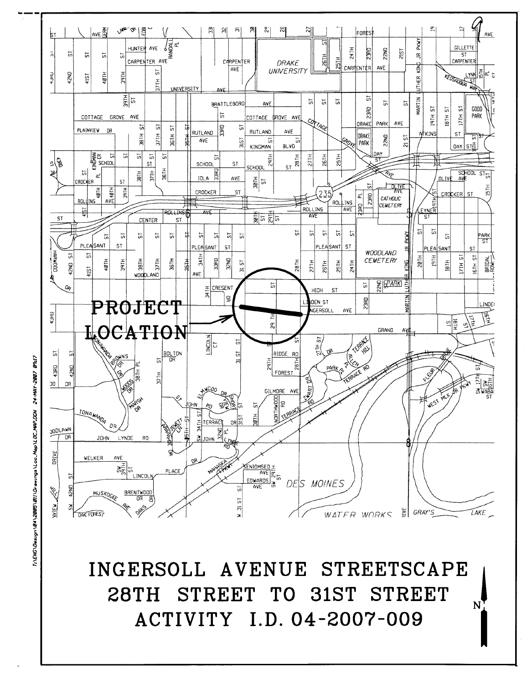

79:17 **CA-HAY-2007** T:\ENG\Design\04\2005\011\Drewings\Loc\_Mop\LOC\_MAP.DGN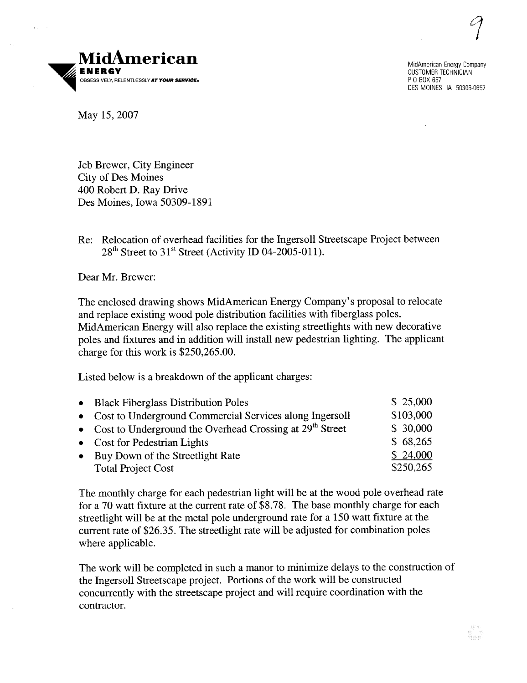$\mathcal{C}$ 



MidAmerican Energy Company CUSTOMER TECHNICIAN P 0 BOX 657 DES MOINES IA 50306-0657

May 15,2007

Jeb Brewer, City Engineer City of Des Moines 400 Robert D. Ray Drive Des Moines, Iowa 50309-1891

Re: Relocation of overhead facilities for the Ingersoll Streetscape Project between  $28<sup>th</sup>$  Street to 31<sup>st</sup> Street (Activity ID 04-2005-011).

Dear Mr. Brewer:

The enclosed drawing shows MidAmerican Energy Company's proposal to relocate and replace existing wood pole distribution facilities with fiberglass poles. MidAmerican Energy will also replace the existing streetlights with new decorative poles and fixtures and in addition will install new pedestrian lighting. The applicant charge for this work is \$250,265.00.

Listed below is a breakdown of the applicant charges:

| • Black Fiberglass Distribution Poles                        | \$25,000  |
|--------------------------------------------------------------|-----------|
| • Cost to Underground Commercial Services along Ingersoll    | \$103,000 |
| • Cost to Underground the Overhead Crossing at $29th$ Street | \$ 30,000 |
| • Cost for Pedestrian Lights                                 | \$68,265  |
| • Buy Down of the Streetlight Rate                           | \$24,000  |
| <b>Total Project Cost</b>                                    | \$250,265 |

The monthly charge for each pedestrian light will be at the wood pole overhead rate for a 70 watt fixture at the current rate of \$8.78. The base monthly charge for each streetlight will be at the metal pole underground rate for a 150 watt fixture at the current rate of \$26.35. The streetlight rate wil be adjusted for combination poles where applicable.

The work will be completed in such a manor to minimize delays to the construction of the Ingersoll Streetscape project. Portions of the work will be constructed concurrently with the streetscape project and will require coordination with the contractor.